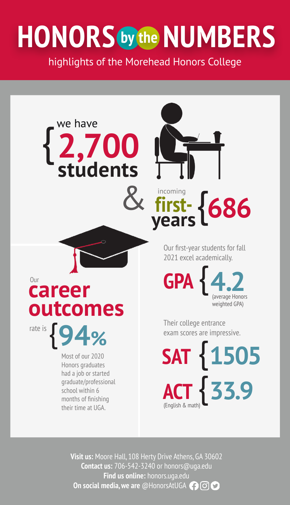# **HONORS NUMBERS by the**

highlights of the Morehead Honors College



Most of our 2020 Honors graduates had a job or started graduate/professional school within 6 months of finishing their time at UGA.

**outcomes**

rate is{**94%**

**career** 

we have

{**2,700**



**years**

Our first-year students for fall 2021 excel academically.

**GPA** {**4.2** (average Honors weighted GPA)

Their college entrance exam scores are impressive.

**ACT** {**33.9** (English & math) **SAT** {**1505**

**Visit us:** Moore Hall, 108 Herty Drive Athens, GA 30602 **Contact us:** 706-542-3240 or honors@uga.edu **Find us online:** honors.uga.edu **On social media, we are** @HonorsAtUGA **000**